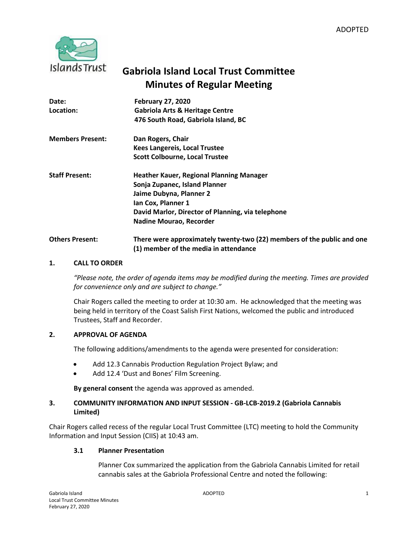

# **Gabriola Island Local Trust Committee Minutes of Regular Meeting**

| Date:                   | <b>February 27, 2020</b>                                                                                        |
|-------------------------|-----------------------------------------------------------------------------------------------------------------|
| Location:               | <b>Gabriola Arts &amp; Heritage Centre</b>                                                                      |
|                         | 476 South Road, Gabriola Island, BC                                                                             |
| <b>Members Present:</b> | Dan Rogers, Chair                                                                                               |
|                         | <b>Kees Langereis, Local Trustee</b>                                                                            |
|                         | <b>Scott Colbourne, Local Trustee</b>                                                                           |
| <b>Staff Present:</b>   | <b>Heather Kauer, Regional Planning Manager</b>                                                                 |
|                         | Sonja Zupanec, Island Planner                                                                                   |
|                         | Jaime Dubyna, Planner 2                                                                                         |
|                         | Ian Cox, Planner 1                                                                                              |
|                         | David Marlor, Director of Planning, via telephone                                                               |
|                         | Nadine Mourao, Recorder                                                                                         |
| <b>Others Present:</b>  | There were approximately twenty-two (22) members of the public and one<br>(1) member of the media in attendance |

#### **1. CALL TO ORDER**

*"Please note, the order of agenda items may be modified during the meeting. Times are provided for convenience only and are subject to change."*

Chair Rogers called the meeting to order at 10:30 am. He acknowledged that the meeting was being held in territory of the Coast Salish First Nations, welcomed the public and introduced Trustees, Staff and Recorder.

#### **2. APPROVAL OF AGENDA**

The following additions/amendments to the agenda were presented for consideration:

- Add 12.3 Cannabis Production Regulation Project Bylaw; and
- Add 12.4 'Dust and Bones' Film Screening.

**By general consent** the agenda was approved as amended.

## **3. COMMUNITY INFORMATION AND INPUT SESSION - GB-LCB-2019.2 (Gabriola Cannabis Limited)**

Chair Rogers called recess of the regular Local Trust Committee (LTC) meeting to hold the Community Information and Input Session (CIIS) at 10:43 am.

#### **3.1 Planner Presentation**

Planner Cox summarized the application from the Gabriola Cannabis Limited for retail cannabis sales at the Gabriola Professional Centre and noted the following: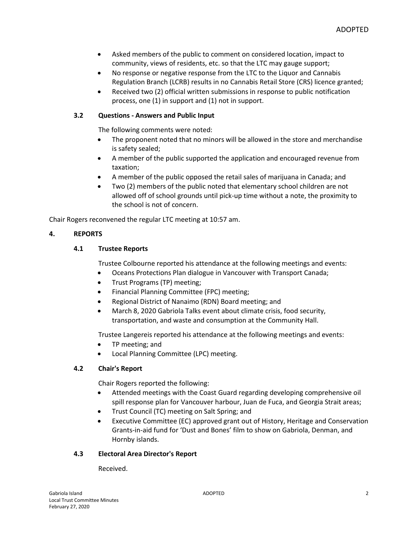- Asked members of the public to comment on considered location, impact to community, views of residents, etc. so that the LTC may gauge support;
- No response or negative response from the LTC to the Liquor and Cannabis Regulation Branch (LCRB) results in no Cannabis Retail Store (CRS) licence granted;
- Received two (2) official written submissions in response to public notification process, one (1) in support and (1) not in support.

# **3.2 Questions - Answers and Public Input**

The following comments were noted:

- The proponent noted that no minors will be allowed in the store and merchandise is safety sealed;
- A member of the public supported the application and encouraged revenue from taxation;
- A member of the public opposed the retail sales of marijuana in Canada; and
- Two (2) members of the public noted that elementary school children are not allowed off of school grounds until pick-up time without a note, the proximity to the school is not of concern.

Chair Rogers reconvened the regular LTC meeting at 10:57 am.

## **4. REPORTS**

## **4.1 Trustee Reports**

Trustee Colbourne reported his attendance at the following meetings and events:

- Oceans Protections Plan dialogue in Vancouver with Transport Canada;
- Trust Programs (TP) meeting;
- Financial Planning Committee (FPC) meeting;
- Regional District of Nanaimo (RDN) Board meeting; and
- March 8, 2020 Gabriola Talks event about climate crisis, food security, transportation, and waste and consumption at the Community Hall.

Trustee Langereis reported his attendance at the following meetings and events:

- TP meeting; and
- Local Planning Committee (LPC) meeting.

#### **4.2 Chair's Report**

Chair Rogers reported the following:

- Attended meetings with the Coast Guard regarding developing comprehensive oil spill response plan for Vancouver harbour, Juan de Fuca, and Georgia Strait areas;
- Trust Council (TC) meeting on Salt Spring; and
- Executive Committee (EC) approved grant out of History, Heritage and Conservation Grants-in-aid fund for 'Dust and Bones' film to show on Gabriola, Denman, and Hornby islands.

#### **4.3 Electoral Area Director's Report**

Received.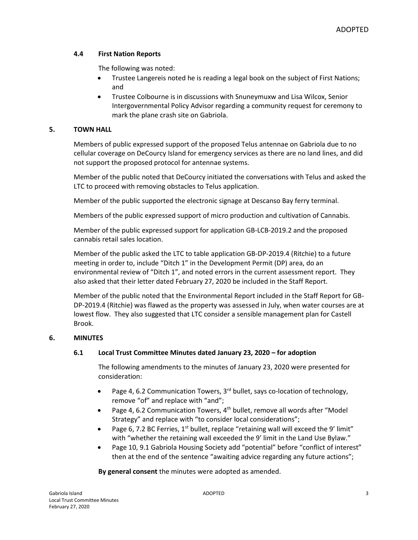## **4.4 First Nation Reports**

The following was noted:

- Trustee Langereis noted he is reading a legal book on the subject of First Nations; and
- Trustee Colbourne is in discussions with Snuneymuxw and Lisa Wilcox, Senior Intergovernmental Policy Advisor regarding a community request for ceremony to mark the plane crash site on Gabriola.

# **5. TOWN HALL**

Members of public expressed support of the proposed Telus antennae on Gabriola due to no cellular coverage on DeCourcy Island for emergency services as there are no land lines, and did not support the proposed protocol for antennae systems.

Member of the public noted that DeCourcy initiated the conversations with Telus and asked the LTC to proceed with removing obstacles to Telus application.

Member of the public supported the electronic signage at Descanso Bay ferry terminal.

Members of the public expressed support of micro production and cultivation of Cannabis.

Member of the public expressed support for application GB-LCB-2019.2 and the proposed cannabis retail sales location.

Member of the public asked the LTC to table application GB-DP-2019.4 (Ritchie) to a future meeting in order to, include "Ditch 1" in the Development Permit (DP) area, do an environmental review of "Ditch 1", and noted errors in the current assessment report. They also asked that their letter dated February 27, 2020 be included in the Staff Report.

Member of the public noted that the Environmental Report included in the Staff Report for GB-DP-2019.4 (Ritchie) was flawed as the property was assessed in July, when water courses are at lowest flow. They also suggested that LTC consider a sensible management plan for Castell Brook.

#### **6. MINUTES**

# **6.1 Local Trust Committee Minutes dated January 23, 2020 – for adoption**

The following amendments to the minutes of January 23, 2020 were presented for consideration:

- Page 4, 6.2 Communication Towers,  $3<sup>rd</sup>$  bullet, says co-location of technology, remove "of" and replace with "and";
- Page 4, 6.2 Communication Towers,  $4<sup>th</sup>$  bullet, remove all words after "Model Strategy" and replace with "to consider local considerations";
- Page 6, 7.2 BC Ferries,  $1^{st}$  bullet, replace "retaining wall will exceed the 9' limit" with "whether the retaining wall exceeded the 9' limit in the Land Use Bylaw."
- Page 10, 9.1 Gabriola Housing Society add "potential" before "conflict of interest" then at the end of the sentence "awaiting advice regarding any future actions";

**By general consent** the minutes were adopted as amended.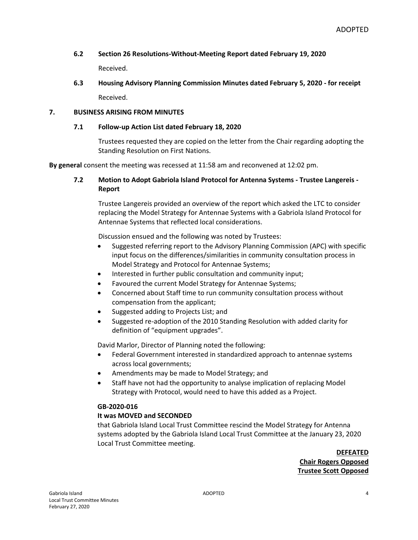# **6.2 Section 26 Resolutions-Without-Meeting Report dated February 19, 2020**

Received.

**6.3 Housing Advisory Planning Commission Minutes dated February 5, 2020 - for receipt** Received.

# **7. BUSINESS ARISING FROM MINUTES**

## **7.1 Follow-up Action List dated February 18, 2020**

Trustees requested they are copied on the letter from the Chair regarding adopting the Standing Resolution on First Nations.

**By general** consent the meeting was recessed at 11:58 am and reconvened at 12:02 pm.

# **7.2 Motion to Adopt Gabriola Island Protocol for Antenna Systems - Trustee Langereis - Report**

Trustee Langereis provided an overview of the report which asked the LTC to consider replacing the Model Strategy for Antennae Systems with a Gabriola Island Protocol for Antennae Systems that reflected local considerations.

Discussion ensued and the following was noted by Trustees:

- Suggested referring report to the Advisory Planning Commission (APC) with specific input focus on the differences/similarities in community consultation process in Model Strategy and Protocol for Antennae Systems;
- Interested in further public consultation and community input;
- Favoured the current Model Strategy for Antennae Systems;
- Concerned about Staff time to run community consultation process without compensation from the applicant;
- Suggested adding to Projects List; and
- Suggested re-adoption of the 2010 Standing Resolution with added clarity for definition of "equipment upgrades".

David Marlor, Director of Planning noted the following:

- Federal Government interested in standardized approach to antennae systems across local governments;
- Amendments may be made to Model Strategy; and
- Staff have not had the opportunity to analyse implication of replacing Model Strategy with Protocol, would need to have this added as a Project.

#### **GB-2020-016**

# **It was MOVED and SECONDED**

that Gabriola Island Local Trust Committee rescind the Model Strategy for Antenna systems adopted by the Gabriola Island Local Trust Committee at the January 23, 2020 Local Trust Committee meeting.

> **DEFEATED Chair Rogers Opposed Trustee Scott Opposed**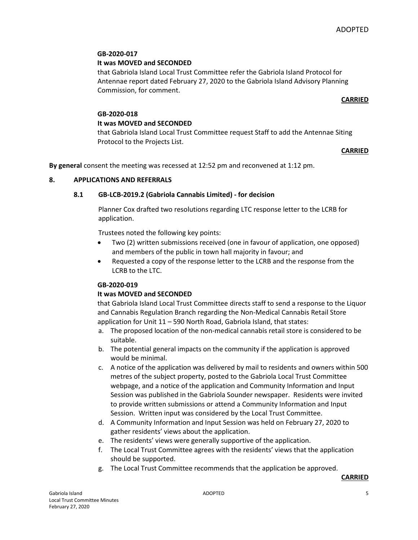## **GB-2020-017**

## **It was MOVED and SECONDED**

that Gabriola Island Local Trust Committee refer the Gabriola Island Protocol for Antennae report dated February 27, 2020 to the Gabriola Island Advisory Planning Commission, for comment.

#### **CARRIED**

#### **GB-2020-018**

# **It was MOVED and SECONDED**

that Gabriola Island Local Trust Committee request Staff to add the Antennae Siting Protocol to the Projects List.

#### **CARRIED**

**By general** consent the meeting was recessed at 12:52 pm and reconvened at 1:12 pm.

## **8. APPLICATIONS AND REFERRALS**

## **8.1 GB-LCB-2019.2 (Gabriola Cannabis Limited) - for decision**

Planner Cox drafted two resolutions regarding LTC response letter to the LCRB for application.

Trustees noted the following key points:

- Two (2) written submissions received (one in favour of application, one opposed) and members of the public in town hall majority in favour; and
- Requested a copy of the response letter to the LCRB and the response from the LCRB to the LTC.

# **GB-2020-019**

# **It was MOVED and SECONDED**

that Gabriola Island Local Trust Committee directs staff to send a response to the Liquor and Cannabis Regulation Branch regarding the Non-Medical Cannabis Retail Store application for Unit 11 – 590 North Road, Gabriola Island, that states:

- a. The proposed location of the non-medical cannabis retail store is considered to be suitable.
- b. The potential general impacts on the community if the application is approved would be minimal.
- c. A notice of the application was delivered by mail to residents and owners within 500 metres of the subject property, posted to the Gabriola Local Trust Committee webpage, and a notice of the application and Community Information and Input Session was published in the Gabriola Sounder newspaper. Residents were invited to provide written submissions or attend a Community Information and Input Session. Written input was considered by the Local Trust Committee.
- d. A Community Information and Input Session was held on February 27, 2020 to gather residents' views about the application.
- e. The residents' views were generally supportive of the application.
- f. The Local Trust Committee agrees with the residents' views that the application should be supported.
- g. The Local Trust Committee recommends that the application be approved.

#### **CARRIED**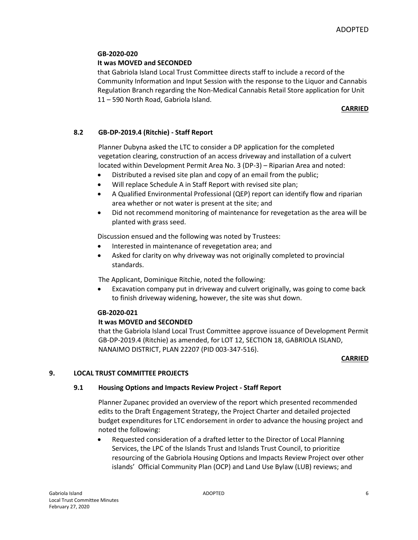# **GB-2020-020**

# **It was MOVED and SECONDED**

that Gabriola Island Local Trust Committee directs staff to include a record of the Community Information and Input Session with the response to the Liquor and Cannabis Regulation Branch regarding the Non-Medical Cannabis Retail Store application for Unit 11 – 590 North Road, Gabriola Island.

## **CARRIED**

## **8.2 GB-DP-2019.4 (Ritchie) - Staff Report**

Planner Dubyna asked the LTC to consider a DP application for the completed vegetation clearing, construction of an access driveway and installation of a culvert located within Development Permit Area No. 3 (DP-3) – Riparian Area and noted:

- Distributed a revised site plan and copy of an email from the public;
- Will replace Schedule A in Staff Report with revised site plan;
- A Qualified Environmental Professional (QEP) report can identify flow and riparian area whether or not water is present at the site; and
- Did not recommend monitoring of maintenance for revegetation as the area will be planted with grass seed.

Discussion ensued and the following was noted by Trustees:

- Interested in maintenance of revegetation area; and
- Asked for clarity on why driveway was not originally completed to provincial standards.

The Applicant, Dominique Ritchie, noted the following:

 Excavation company put in driveway and culvert originally, was going to come back to finish driveway widening, however, the site was shut down.

#### **GB-2020-021**

#### **It was MOVED and SECONDED**

that the Gabriola Island Local Trust Committee approve issuance of Development Permit GB-DP-2019.4 (Ritchie) as amended, for LOT 12, SECTION 18, GABRIOLA ISLAND, NANAIMO DISTRICT, PLAN 22207 (PID 003-347-516).

#### **CARRIED**

# **9. LOCAL TRUST COMMITTEE PROJECTS**

#### **9.1 Housing Options and Impacts Review Project - Staff Report**

Planner Zupanec provided an overview of the report which presented recommended edits to the Draft Engagement Strategy, the Project Charter and detailed projected budget expenditures for LTC endorsement in order to advance the housing project and noted the following:

 Requested consideration of a drafted letter to the Director of Local Planning Services, the LPC of the Islands Trust and Islands Trust Council, to prioritize resourcing of the Gabriola Housing Options and Impacts Review Project over other islands' Official Community Plan (OCP) and Land Use Bylaw (LUB) reviews; and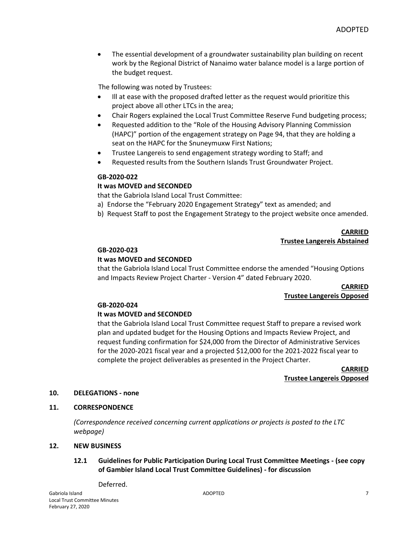The essential development of a groundwater sustainability plan building on recent work by the Regional District of Nanaimo water balance model is a large portion of the budget request.

The following was noted by Trustees:

- Ill at ease with the proposed drafted letter as the request would prioritize this project above all other LTCs in the area;
- Chair Rogers explained the Local Trust Committee Reserve Fund budgeting process;
- Requested addition to the "Role of the Housing Advisory Planning Commission (HAPC)" portion of the engagement strategy on Page 94, that they are holding a seat on the HAPC for the Snuneymuxw First Nations;
- Trustee Langereis to send engagement strategy wording to Staff; and
- Requested results from the Southern Islands Trust Groundwater Project.

#### **GB-2020-022**

#### **It was MOVED and SECONDED**

that the Gabriola Island Local Trust Committee:

- a) Endorse the "February 2020 Engagement Strategy" text as amended; and
- b) Request Staff to post the Engagement Strategy to the project website once amended.

#### **CARRIED Trustee Langereis Abstained**

#### **GB-2020-023**

#### **It was MOVED and SECONDED**

that the Gabriola Island Local Trust Committee endorse the amended "Housing Options and Impacts Review Project Charter - Version 4" dated February 2020.

## **CARRIED Trustee Langereis Opposed**

#### **GB-2020-024**

#### **It was MOVED and SECONDED**

that the Gabriola Island Local Trust Committee request Staff to prepare a revised work plan and updated budget for the Housing Options and Impacts Review Project, and request funding confirmation for \$24,000 from the Director of Administrative Services for the 2020-2021 fiscal year and a projected \$12,000 for the 2021-2022 fiscal year to complete the project deliverables as presented in the Project Charter.

> **CARRIED Trustee Langereis Opposed**

#### **10. DELEGATIONS - none**

#### **11. CORRESPONDENCE**

*(Correspondence received concerning current applications or projects is posted to the LTC webpage)*

#### **12. NEW BUSINESS**

#### **12.1 Guidelines for Public Participation During Local Trust Committee Meetings - (see copy of Gambier Island Local Trust Committee Guidelines) - for discussion**

Deferred.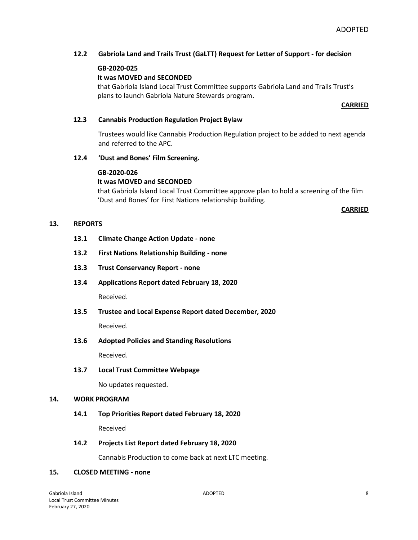## **12.2 Gabriola Land and Trails Trust (GaLTT) Request for Letter of Support - for decision**

#### **GB-2020-025**

## **It was MOVED and SECONDED**

that Gabriola Island Local Trust Committee supports Gabriola Land and Trails Trust's plans to launch Gabriola Nature Stewards program.

#### **CARRIED**

#### **12.3 Cannabis Production Regulation Project Bylaw**

Trustees would like Cannabis Production Regulation project to be added to next agenda and referred to the APC.

#### **12.4 'Dust and Bones' Film Screening.**

#### **GB-2020-026**

#### **It was MOVED and SECONDED**

that Gabriola Island Local Trust Committee approve plan to hold a screening of the film 'Dust and Bones' for First Nations relationship building.

**CARRIED**

#### **13. REPORTS**

- **13.1 Climate Change Action Update - none**
- **13.2 First Nations Relationship Building - none**
- **13.3 Trust Conservancy Report - none**
- **13.4 Applications Report dated February 18, 2020** Received.

**13.5 Trustee and Local Expense Report dated December, 2020**

Received.

**13.6 Adopted Policies and Standing Resolutions**

Received.

**13.7 Local Trust Committee Webpage**

No updates requested.

#### **14. WORK PROGRAM**

#### **14.1 Top Priorities Report dated February 18, 2020**

Received

#### **14.2 Projects List Report dated February 18, 2020**

Cannabis Production to come back at next LTC meeting.

# **15. CLOSED MEETING - none**